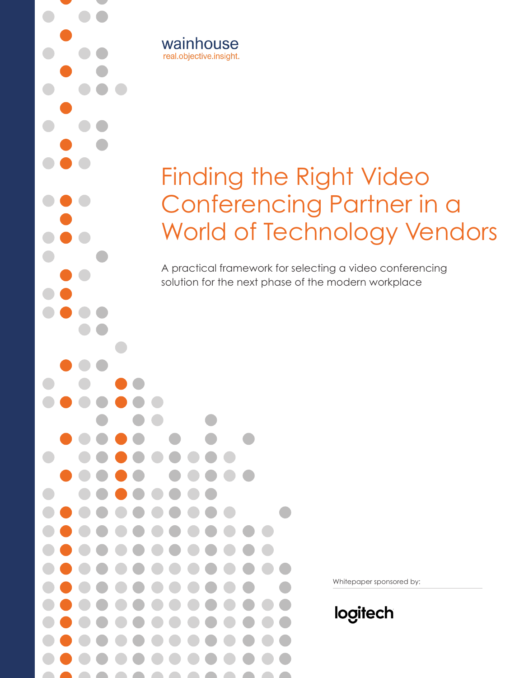

A practical framework for selecting a video conferencing solution for the next phase of the modern workplace



wainhouse real.objective.insight.

Whitepaper sponsored by:

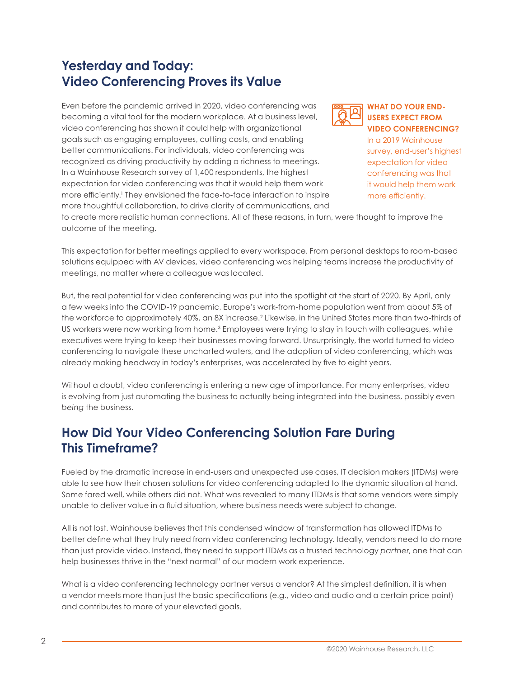## **Yesterday and Today: Video Conferencing Proves its Value**

Even before the pandemic arrived in 2020, video conferencing was becoming a vital tool for the modern workplace. At a business level, video conferencing has shown it could help with organizational goals such as engaging employees, cutting costs, and enabling better communications. For individuals, video conferencing was recognized as driving productivity by adding a richness to meetings. In a Wainhouse Research survey of 1,400 respondents, the highest expectation for video conferencing was that it would help them work more efficiently.1 They envisioned the face-to-face interaction to inspire more thoughtful collaboration, to drive clarity of communications, and



#### **WHAT DO YOUR END-USERS EXPECT FROM VIDEO CONFERENCING?**

In a 2019 Wainhouse survey, end-user's highest expectation for video conferencing was that it would help them work more efficiently.

to create more realistic human connections. All of these reasons, in turn, were thought to improve the outcome of the meeting.

This expectation for better meetings applied to every workspace. From personal desktops to room-based solutions equipped with AV devices, video conferencing was helping teams increase the productivity of meetings, no matter where a colleague was located.

But, the real potential for video conferencing was put into the spotlight at the start of 2020. By April, only a few weeks into the COVID-19 pandemic, Europe's work-from-home population went from about 5% of the workforce to approximately 40%, an 8X increase.<sup>2</sup> Likewise, in the United States more than two-thirds of US workers were now working from home.<sup>3</sup> Employees were trying to stay in touch with colleagues, while executives were trying to keep their businesses moving forward. Unsurprisingly, the world turned to video conferencing to navigate these uncharted waters, and the adoption of video conferencing, which was already making headway in today's enterprises, was accelerated by five to eight years.

Without a doubt, video conferencing is entering a new age of importance. For many enterprises, video is evolving from just automating the business to actually being integrated into the business, possibly even *being* the business.

## **How Did Your Video Conferencing Solution Fare During This Timeframe?**

Fueled by the dramatic increase in end-users and unexpected use cases, IT decision makers (ITDMs) were able to see how their chosen solutions for video conferencing adapted to the dynamic situation at hand. Some fared well, while others did not. What was revealed to many ITDMs is that some vendors were simply unable to deliver value in a fluid situation, where business needs were subject to change.

All is not lost. Wainhouse believes that this condensed window of transformation has allowed ITDMs to better define what they truly need from video conferencing technology. Ideally, vendors need to do more than just provide video. Instead, they need to support ITDMs as a trusted technology *partner*, one that can help businesses thrive in the "next normal" of our modern work experience.

What is a video conferencing technology partner versus a vendor? At the simplest definition, it is when a vendor meets more than just the basic specifications (e.g., video and audio and a certain price point) and contributes to more of your elevated goals.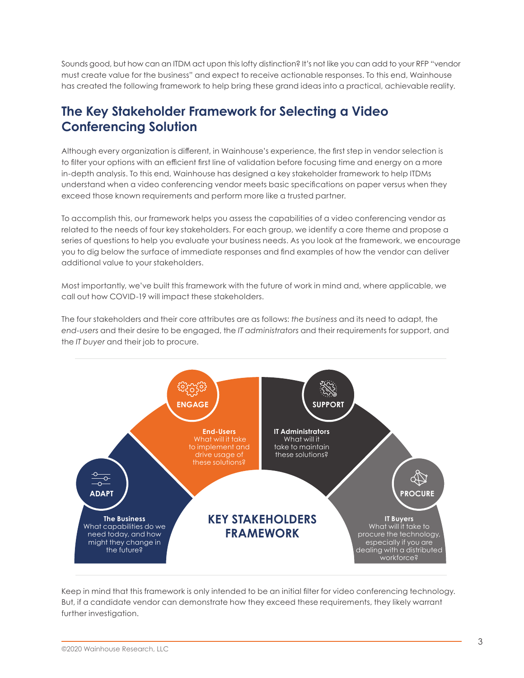Sounds good, but how can an ITDM act upon this lofty distinction? It's not like you can add to your RFP "vendor must create value for the business" and expect to receive actionable responses. To this end, Wainhouse has created the following framework to help bring these grand ideas into a practical, achievable reality.

## **The Key Stakeholder Framework for Selecting a Video Conferencing Solution**

Although every organization is different, in Wainhouse's experience, the first step in vendor selection is to filter your options with an efficient first line of validation before focusing time and energy on a more in-depth analysis. To this end, Wainhouse has designed a key stakeholder framework to help ITDMs understand when a video conferencing vendor meets basic specifications on paper versus when they exceed those known requirements and perform more like a trusted partner.

To accomplish this, our framework helps you assess the capabilities of a video conferencing vendor as related to the needs of four key stakeholders. For each group, we identify a core theme and propose a series of questions to help you evaluate your business needs. As you look at the framework, we encourage you to dig below the surface of immediate responses and find examples of how the vendor can deliver additional value to your stakeholders.

Most importantly, we've built this framework with the future of work in mind and, where applicable, we call out how COVID-19 will impact these stakeholders.

The four stakeholders and their core attributes are as follows: *the business* and its need to adapt, the *end-users* and their desire to be engaged, the *IT administrators* and their requirements for support, and the *IT buyer* and their job to procure.



Keep in mind that this framework is only intended to be an initial filter for video conferencing technology. But, if a candidate vendor can demonstrate how they exceed these requirements, they likely warrant further investigation.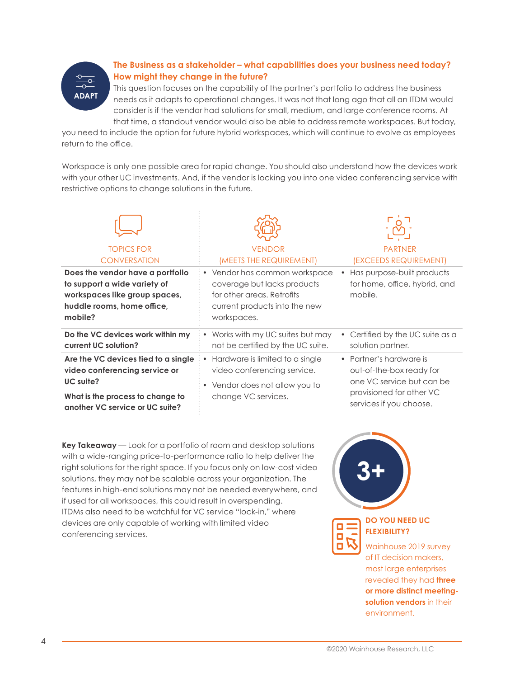

## **The Business as a stakeholder – what capabilities does your business need today? How might they change in the future?**

This question focuses on the capability of the partner's portfolio to address the business needs as it adapts to operational changes. It was not that long ago that all an ITDM would consider is if the vendor had solutions for small, medium, and large conference rooms. At that time, a standout vendor would also be able to address remote workspaces. But today,

you need to include the option for future hybrid workspaces, which will continue to evolve as employees return to the office.

Workspace is only one possible area for rapid change. You should also understand how the devices work with your other UC investments. And, if the vendor is locking you into one video conferencing service with restrictive options to change solutions in the future.

| <b>TOPICS FOR</b>                                                                                                                                        | <b>VENDOR</b>                                                                                                                              | <b>PARTNER</b>                                                                                                                          |
|----------------------------------------------------------------------------------------------------------------------------------------------------------|--------------------------------------------------------------------------------------------------------------------------------------------|-----------------------------------------------------------------------------------------------------------------------------------------|
| <b>CONVERSATION</b>                                                                                                                                      | (MEETS THE REQUIREMENT)                                                                                                                    | (EXCEEDS REQUIREMENT)                                                                                                                   |
| Does the vendor have a portfolio<br>to support a wide variety of<br>workspaces like group spaces,<br>huddle rooms, home office,<br>mobile?               | • Vendor has common workspace<br>coverage but lacks products<br>for other areas. Retrofits<br>current products into the new<br>workspaces. | Has purpose-built products<br>for home, office, hybrid, and<br>mobile.                                                                  |
| Do the VC devices work within my                                                                                                                         | • Works with my UC suites but may                                                                                                          | Certified by the UC suite as a                                                                                                          |
| current UC solution?                                                                                                                                     | not be certified by the UC suite.                                                                                                          | solution partner.                                                                                                                       |
| Are the VC devices tied to a single<br>video conferencing service or<br>UC suite?<br>What is the process to change to<br>another VC service or UC suite? | Hardware is limited to a single<br>video conferencing service.<br>• Vendor does not allow you to<br>change VC services.                    | • Partner's hardware is<br>out-of-the-box ready for<br>one VC service but can be<br>provisioned for other VC<br>services if you choose. |

**Key Takeaway** — Look for a portfolio of room and desktop solutions with a wide-ranging price-to-performance ratio to help deliver the right solutions for the right space. If you focus only on low-cost video solutions, they may not be scalable across your organization. The features in high-end solutions may not be needed everywhere, and if used for all workspaces, this could result in overspending. ITDMs also need to be watchful for VC service "lock-in," where devices are only capable of working with limited video conferencing services.

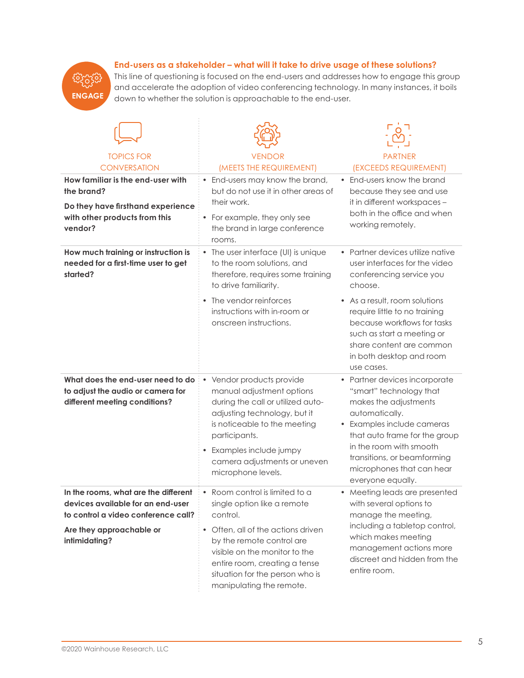### **End-users as a stakeholder – what will it take to drive usage of these solutions?**



This line of questioning is focused on the end-users and addresses how to engage this group and accelerate the adoption of video conferencing technology. In many instances, it boils down to whether the solution is approachable to the end-user.

| <b>TOPICS FOR</b><br><b>CONVERSATION</b>                                                                                         | <b>VENDOR</b><br>(MEETS THE REQUIREMENT)                                                                                                                                                                                                                   | <b>PARTNER</b><br>(EXCEEDS REQUIREMENT)                                                                                                                                                                                                                                        |
|----------------------------------------------------------------------------------------------------------------------------------|------------------------------------------------------------------------------------------------------------------------------------------------------------------------------------------------------------------------------------------------------------|--------------------------------------------------------------------------------------------------------------------------------------------------------------------------------------------------------------------------------------------------------------------------------|
| How familiar is the end-user with<br>the brand?<br>Do they have firsthand experience<br>with other products from this<br>vendor? | End-users may know the brand,<br>but do not use it in other areas of<br>their work.<br>• For example, they only see<br>the brand in large conference                                                                                                       | End-users know the brand<br>$\bullet$<br>because they see and use<br>it in different workspaces -<br>both in the office and when<br>working remotely.                                                                                                                          |
| How much training or instruction is<br>needed for a first-time user to get<br>started?                                           | rooms.<br>• The user interface (UI) is unique<br>to the room solutions, and<br>therefore, requires some training<br>to drive familiarity.                                                                                                                  | • Partner devices utilize native<br>user interfaces for the video<br>conferencing service you<br>choose.                                                                                                                                                                       |
|                                                                                                                                  | The vendor reinforces<br>instructions with in-room or<br>onscreen instructions.                                                                                                                                                                            | • As a result, room solutions<br>require little to no training<br>because workflows for tasks<br>such as start a meeting or<br>share content are common<br>in both desktop and room<br>use cases.                                                                              |
| What does the end-user need to do<br>to adjust the audio or camera for<br>different meeting conditions?                          | Vendor products provide<br>manual adjustment options<br>during the call or utilized auto-<br>adjusting technology, but it<br>is noticeable to the meeting<br>participants.<br>Examples include jumpy<br>camera adjustments or uneven<br>microphone levels. | • Partner devices incorporate<br>"smart" technology that<br>makes the adjustments<br>automatically.<br>• Examples include cameras<br>that auto frame for the group<br>in the room with smooth<br>transitions, or beamforming<br>microphones that can hear<br>everyone equally. |
| In the rooms, what are the different<br>devices available for an end-user<br>to control a video conference call?                 | • Room control is limited to a<br>single option like a remote<br>control.                                                                                                                                                                                  | • Meeting leads are presented<br>with several options to<br>manage the meeting,                                                                                                                                                                                                |
| Are they approachable or<br>intimidating?                                                                                        | • Often, all of the actions driven<br>by the remote control are<br>visible on the monitor to the<br>entire room, creating a tense<br>situation for the person who is<br>manipulating the remote.                                                           | including a tabletop control,<br>which makes meeting<br>management actions more<br>discreet and hidden from the<br>entire room.                                                                                                                                                |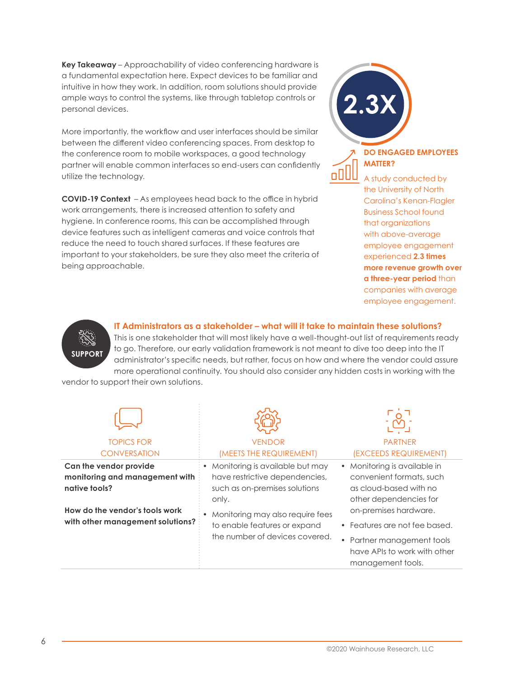**Key Takeaway** – Approachability of video conferencing hardware is a fundamental expectation here. Expect devices to be familiar and intuitive in how they work. In addition, room solutions should provide ample ways to control the systems, like through tabletop controls or personal devices.

More importantly, the workflow and user interfaces should be similar between the different video conferencing spaces. From desktop to the conference room to mobile workspaces, a good technology partner will enable common interfaces so end-users can confidently utilize the technology.

**COVID-19 Context** – As employees head back to the office in hybrid work arrangements, there is increased attention to safety and hygiene. In conference rooms, this can be accomplished through device features such as intelligent cameras and voice controls that reduce the need to touch shared surfaces. If these features are important to your stakeholders, be sure they also meet the criteria of being approachable.



ooll

### **DO ENGAGED EMPLOYEES MATTER?**

A study conducted by the University of North Carolina's Kenan-Flagler Business School found that organizations with above-average employee engagement experienced **2.3 times more revenue growth over a three-year period** than companies with average employee engagement.



**IT Administrators as a stakeholder – what will it take to maintain these solutions?**

This is one stakeholder that will most likely have a well-thought-out list of requirements ready to go. Therefore, our early validation framework is not meant to dive too deep into the IT administrator's specific needs, but rather, focus on how and where the vendor could assure more operational continuity. You should also consider any hidden costs in working with the

vendor to support their own solutions.

| <b>TOPICS FOR</b><br><b>CONVERSATION</b>                                  | <b>VENDOR</b><br>(MEETS THE REQUIREMENT)                                                                    | <b>PARTNER</b><br>(EXCEEDS REQUIREMENT)                                                                                                   |
|---------------------------------------------------------------------------|-------------------------------------------------------------------------------------------------------------|-------------------------------------------------------------------------------------------------------------------------------------------|
| Can the vendor provide<br>monitoring and management with<br>native tools? | Monitoring is available but may<br>have restrictive dependencies,<br>such as on-premises solutions<br>only. | • Monitoring is available in<br>convenient formats, such<br>as cloud-based with no<br>other dependencies for                              |
| How do the vendor's tools work<br>with other management solutions?        | Monitoring may also require fees<br>to enable features or expand<br>the number of devices covered.          | on-premises hardware.<br>• Features are not fee based.<br>• Partner management tools<br>have APIs to work with other<br>management tools. |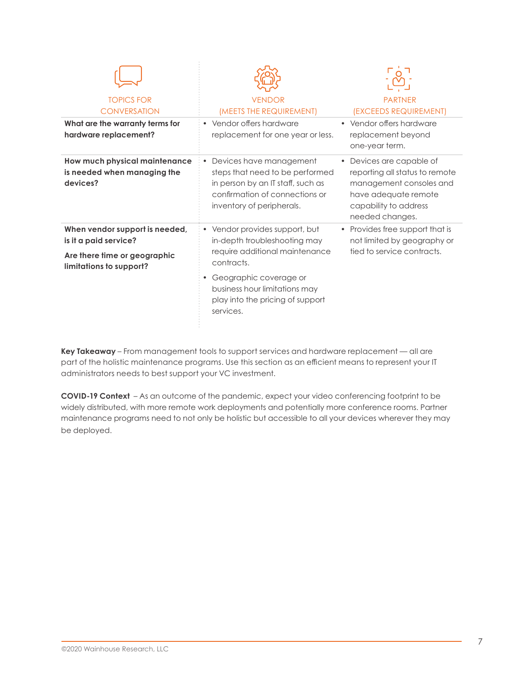| <b>TOPICS FOR</b><br><b>CONVERSATION</b>                                                                           | <b>VENDOR</b><br>(MEETS THE REQUIREMENT)                                                                                                                                                                                     | <b>PARTNER</b><br>(EXCEEDS REQUIREMENT)                                                                                                                              |
|--------------------------------------------------------------------------------------------------------------------|------------------------------------------------------------------------------------------------------------------------------------------------------------------------------------------------------------------------------|----------------------------------------------------------------------------------------------------------------------------------------------------------------------|
| What are the warranty terms for<br>hardware replacement?                                                           | • Vendor offers hardware<br>replacement for one year or less.                                                                                                                                                                | • Vendor offers hardware<br>replacement beyond<br>one-year term.                                                                                                     |
| How much physical maintenance<br>is needed when managing the<br>devices?                                           | • Devices have management<br>steps that need to be performed<br>in person by an IT staff, such as<br>confirmation of connections or<br>inventory of peripherals.                                                             | Devices are capable of<br>$\bullet$<br>reporting all status to remote<br>management consoles and<br>have adequate remote<br>capability to address<br>needed changes. |
| When vendor support is needed,<br>is it a paid service?<br>Are there time or geographic<br>limitations to support? | • Vendor provides support, but<br>in-depth troubleshooting may<br>require additional maintenance<br>contracts.<br>• Geographic coverage or<br>business hour limitations may<br>play into the pricing of support<br>services. | • Provides free support that is<br>not limited by geography or<br>tied to service contracts.                                                                         |

**Key Takeaway** – From management tools to support services and hardware replacement — all are part of the holistic maintenance programs. Use this section as an efficient means to represent your IT administrators needs to best support your VC investment.

**COVID-19 Context** – As an outcome of the pandemic, expect your video conferencing footprint to be widely distributed, with more remote work deployments and potentially more conference rooms. Partner maintenance programs need to not only be holistic but accessible to all your devices wherever they may be deployed.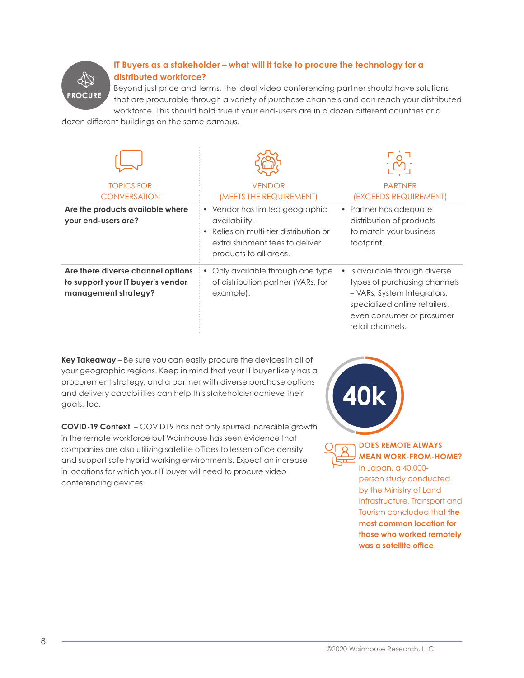

## **IT Buyers as a stakeholder – what will it take to procure the technology for a distributed workforce?**

Beyond just price and terms, the ideal video conferencing partner should have solutions that are procurable through a variety of purchase channels and can reach your distributed workforce. This should hold true if your end-users are in a dozen different countries or a

dozen different buildings on the same campus.

| <b>TOPICS FOR</b>                                                                              | <b>VENDOR</b>                                                                                                                                        | <b>PARTNER</b>                                                                                                                                                                             |
|------------------------------------------------------------------------------------------------|------------------------------------------------------------------------------------------------------------------------------------------------------|--------------------------------------------------------------------------------------------------------------------------------------------------------------------------------------------|
| <b>CONVERSATION</b>                                                                            | (MEETS THE REQUIREMENT)                                                                                                                              | (EXCEEDS REQUIREMENT)                                                                                                                                                                      |
| Are the products available where<br>your end-users are?                                        | • Vendor has limited geographic<br>availability.<br>Relies on multi-tier distribution or<br>extra shipment fees to deliver<br>products to all areas. | Partner has adequate<br>distribution of products<br>to match your business<br>footprint.                                                                                                   |
| Are there diverse channel options<br>to support your IT buyer's vendor<br>management strategy? | Only available through one type<br>of distribution partner (VARs, for<br>example).                                                                   | Is available through diverse<br>$\bullet$<br>types of purchasing channels<br>- VARs, System Integrators,<br>specialized online retailers,<br>even consumer or prosumer<br>retail channels. |

**Key Takeaway** – Be sure you can easily procure the devices in all of your geographic regions. Keep in mind that your IT buyer likely has a procurement strategy, and a partner with diverse purchase options and delivery capabilities can help this stakeholder achieve their goals, too.

**COVID-19 Context** – COVID19 has not only spurred incredible growth in the remote workforce but Wainhouse has seen evidence that companies are also utilizing satellite offices to lessen office density and support safe hybrid working environments. Expect an increase in locations for which your IT buyer will need to procure video conferencing devices.

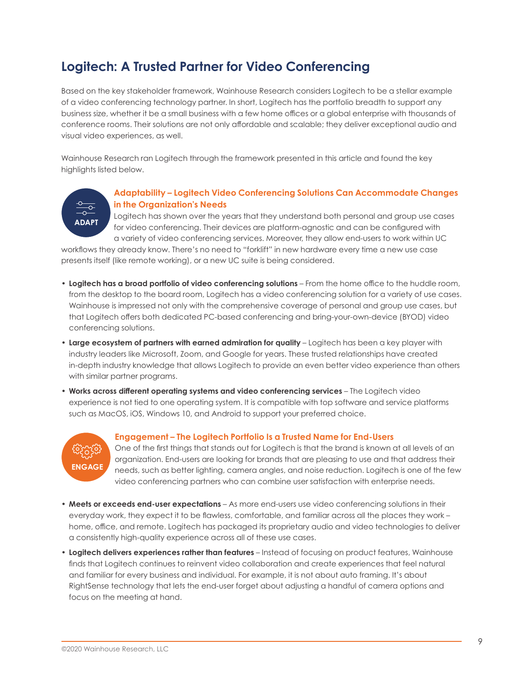## **Logitech: A Trusted Partner for Video Conferencing**

Based on the key stakeholder framework, Wainhouse Research considers Logitech to be a stellar example of a video conferencing technology partner. In short, Logitech has the portfolio breadth to support any business size, whether it be a small business with a few home offices or a global enterprise with thousands of conference rooms. Their solutions are not only affordable and scalable; they deliver exceptional audio and visual video experiences, as well.

Wainhouse Research ran Logitech through the framework presented in this article and found the key highlights listed below.

# **ADAPT**

### **Adaptability – Logitech Video Conferencing Solutions Can Accommodate Changes in the Organization's Needs**

Logitech has shown over the years that they understand both personal and group use cases for video conferencing. Their devices are platform-agnostic and can be configured with a variety of video conferencing services. Moreover, they allow end-users to work within UC

workflows they already know. There's no need to "forklift" in new hardware every time a new use case presents itself (like remote working), or a new UC suite is being considered.

- **Logitech has a broad portfolio of video conferencing solutions** From the home office to the huddle room, from the desktop to the board room, Logitech has a video conferencing solution for a variety of use cases. Wainhouse is impressed not only with the comprehensive coverage of personal and group use cases, but that Logitech offers both dedicated PC-based conferencing and bring-your-own-device (BYOD) video conferencing solutions.
- **Large ecosystem of partners with earned admiration for quality** Logitech has been a key player with industry leaders like Microsoft, Zoom, and Google for years. These trusted relationships have created in-depth industry knowledge that allows Logitech to provide an even better video experience than others with similar partner programs.
- **Works across different operating systems and video conferencing services** The Logitech video experience is not tied to one operating system. It is compatible with top software and service platforms such as MacOS, iOS, Windows 10, and Android to support your preferred choice.



### **Engagement – The Logitech Portfolio Is a Trusted Name for End-Users**

One of the first things that stands out for Logitech is that the brand is known at all levels of an organization. End-users are looking for brands that are pleasing to use and that address their needs, such as better lighting, camera angles, and noise reduction. Logitech is one of the few video conferencing partners who can combine user satisfaction with enterprise needs.

- **Meets or exceeds end-user expectations** As more end-users use video conferencing solutions in their everyday work, they expect it to be flawless, comfortable, and familiar across all the places they work – home, office, and remote. Logitech has packaged its proprietary audio and video technologies to deliver a consistently high-quality experience across all of these use cases.
- **Logitech delivers experiences rather than features** Instead of focusing on product features, Wainhouse finds that Logitech continues to reinvent video collaboration and create experiences that feel natural and familiar for every business and individual. For example, it is not about auto framing. It's about RightSense technology that lets the end-user forget about adjusting a handful of camera options and focus on the meeting at hand.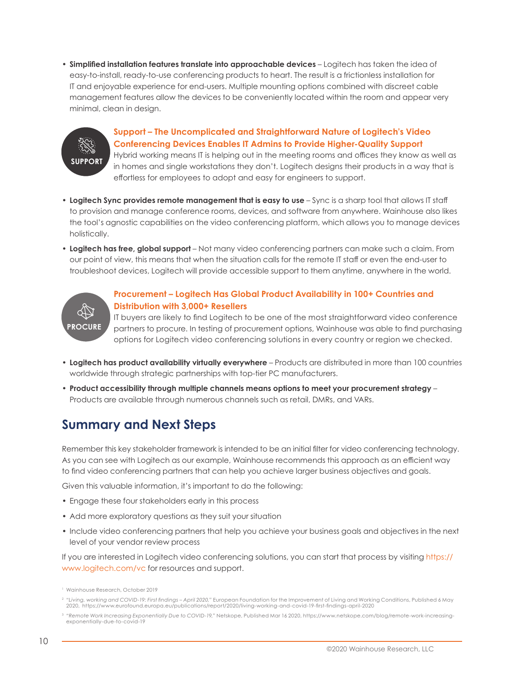• **Simplified installation features translate into approachable devices** – Logitech has taken the idea of easy-to-install, ready-to-use conferencing products to heart. The result is a frictionless installation for IT and enjoyable experience for end-users. Multiple mounting options combined with discreet cable management features allow the devices to be conveniently located within the room and appear very minimal, clean in design.



## **Support – The Uncomplicated and Straightforward Nature of Logitech's Video Conferencing Devices Enables IT Admins to Provide Higher-Quality Support**

Hybrid working means IT is helping out in the meeting rooms and offices they know as well as in homes and single workstations they don't. Logitech designs their products in a way that is effortless for employees to adopt and easy for engineers to support.

- Logitech Sync provides remote management that is easy to use Sync is a sharp tool that allows IT staff to provision and manage conference rooms, devices, and software from anywhere. Wainhouse also likes the tool's agnostic capabilities on the video conferencing platform, which allows you to manage devices holistically.
- **Logitech has free, global support** Not many video conferencing partners can make such a claim. From our point of view, this means that when the situation calls for the remote IT staff or even the end-user to troubleshoot devices, Logitech will provide accessible support to them anytime, anywhere in the world.



### **Procurement – Logitech Has Global Product Availability in 100+ Countries and Distribution with 3,000+ Resellers**

IT buyers are likely to find Logitech to be one of the most straightforward video conference partners to procure. In testing of procurement options, Wainhouse was able to find purchasing options for Logitech video conferencing solutions in every country or region we checked.

- **Logitech has product availability virtually everywhere** Products are distributed in more than 100 countries worldwide through strategic partnerships with top-tier PC manufacturers.
- **Product accessibility through multiple channels means options to meet your procurement strategy** Products are available through numerous channels such as retail, DMRs, and VARs.

## **Summary and Next Steps**

Remember this key stakeholder framework is intended to be an initial filter for video conferencing technology. As you can see with Logitech as our example, Wainhouse recommends this approach as an efficient way to find video conferencing partners that can help you achieve larger business objectives and goals.

Given this valuable information, it's important to do the following:

- Engage these four stakeholders early in this process
- Add more exploratory questions as they suit your situation
- Include video conferencing partners that help you achieve your business goals and objectives in the next level of your vendor review process

If you are interested in Logitech video conferencing solutions, you can start that process by visiting [https://](https://www.logitech.com/vc) [www.logitech.com/vc](https://www.logitech.com/vc) for resources and support.

<sup>1</sup> Wainhouse Research, October 2019

<sup>2</sup> *"Living, working and COVID-19: First findings – April 2020,"* European Foundation for the Improvement of Living and Working Conditions, Published 6 May 2020, <https://www.eurofound.europa.eu/publications/report/2020/living-working-and-covid-19-first-findings-april-2020>

<sup>3</sup> *"Remote Work Increasing Exponentially Due to COVID-19,"* Netskope, Published Mar 16 2020, [https://www.netskope.com/blog/remote-work-increasing](https://www.netskope.com/blog/remote-work-increasing-exponentially-due-to-covid-19)[exponentially-due-to-covid-19](https://www.netskope.com/blog/remote-work-increasing-exponentially-due-to-covid-19)